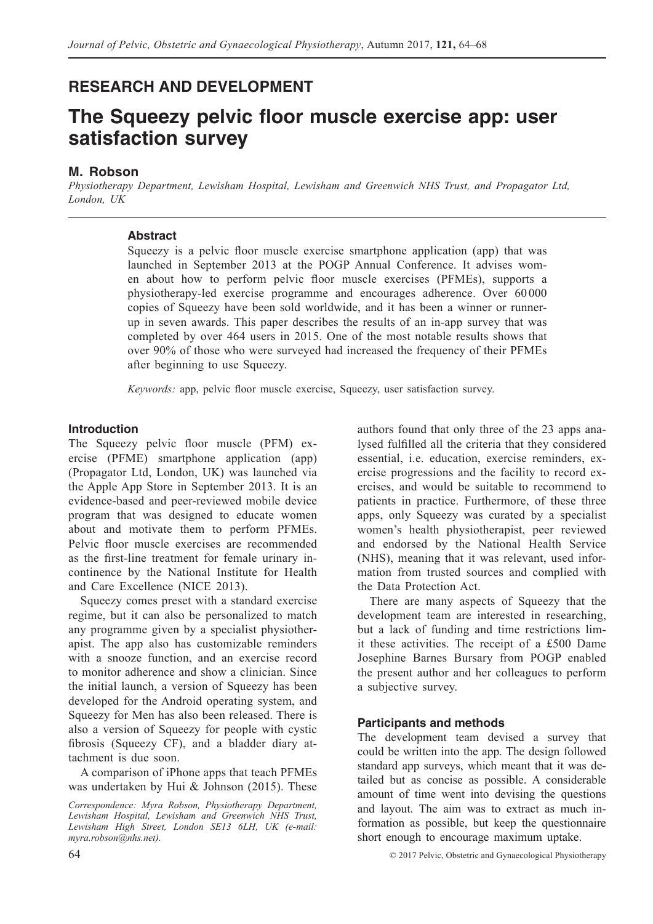# **RESEARCH AND DEVELOPMENT**

# **The Squeezy pelvic floor muscle exercise app: user satisfaction survey**

# **M. Robson**

*Physiotherapy Department, Lewisham Hospital, Lewisham and Greenwich NHS Trust, and Propagator Ltd, London, UK*

# **Abstract**

Squeezy is a pelvic floor muscle exercise smartphone application (app) that was launched in September 2013 at the POGP Annual Conference. It advises women about how to perform pelvic floor muscle exercises (PFMEs), supports a physiotherapy-led exercise programme and encourages adherence. Over 60 000 copies of Squeezy have been sold worldwide, and it has been a winner or runnerup in seven awards. This paper describes the results of an in-app survey that was completed by over 464 users in 2015. One of the most notable results shows that over 90% of those who were surveyed had increased the frequency of their PFMEs after beginning to use Squeezy.

*Keywords:* app, pelvic floor muscle exercise, Squeezy, user satisfaction survey.

# **Introduction**

The Squeezy pelvic floor muscle (PFM) exercise (PFME) smartphone application (app) (Propagator Ltd, London, UK) was launched via the Apple App Store in September 2013. It is an evidence-based and peer-reviewed mobile device program that was designed to educate women about and motivate them to perform PFMEs. Pelvic floor muscle exercises are recommended as the first-line treatment for female urinary incontinence by the National Institute for Health and Care Excellence (NICE 2013).

Squeezy comes preset with a standard exercise regime, but it can also be personalized to match any programme given by a specialist physiotherapist. The app also has customizable reminders with a snooze function, and an exercise record to monitor adherence and show a clinician. Since the initial launch, a version of Squeezy has been developed for the Android operating system, and Squeezy for Men has also been released. There is also a version of Squeezy for people with cystic fibrosis (Squeezy CF), and a bladder diary attachment is due soon.

A comparison of iPhone apps that teach PFMEs was undertaken by Hui & Johnson (2015). These

*Correspondence: Myra Robson, Physiotherapy Department, Lewisham Hospital, Lewisham and Greenwich NHS Trust, Lewisham High Street, London SE13 6LH, UK (e-mail: myra.robson@nhs.net).*

authors found that only three of the 23 apps analysed fulfilled all the criteria that they considered essential, i.e. education, exercise reminders, exercise progressions and the facility to record exercises, and would be suitable to recommend to patients in practice. Furthermore, of these three apps, only Squeezy was curated by a specialist women's health physiotherapist, peer reviewed and endorsed by the National Health Service (NHS), meaning that it was relevant, used information from trusted sources and complied with the Data Protection Act.

There are many aspects of Squeezy that the development team are interested in researching, but a lack of funding and time restrictions limit these activities. The receipt of a £500 Dame Josephine Barnes Bursary from POGP enabled the present author and her colleagues to perform a subjective survey.

# **Participants and methods**

The development team devised a survey that could be written into the app. The design followed standard app surveys, which meant that it was detailed but as concise as possible. A considerable amount of time went into devising the questions and layout. The aim was to extract as much information as possible, but keep the questionnaire short enough to encourage maximum uptake.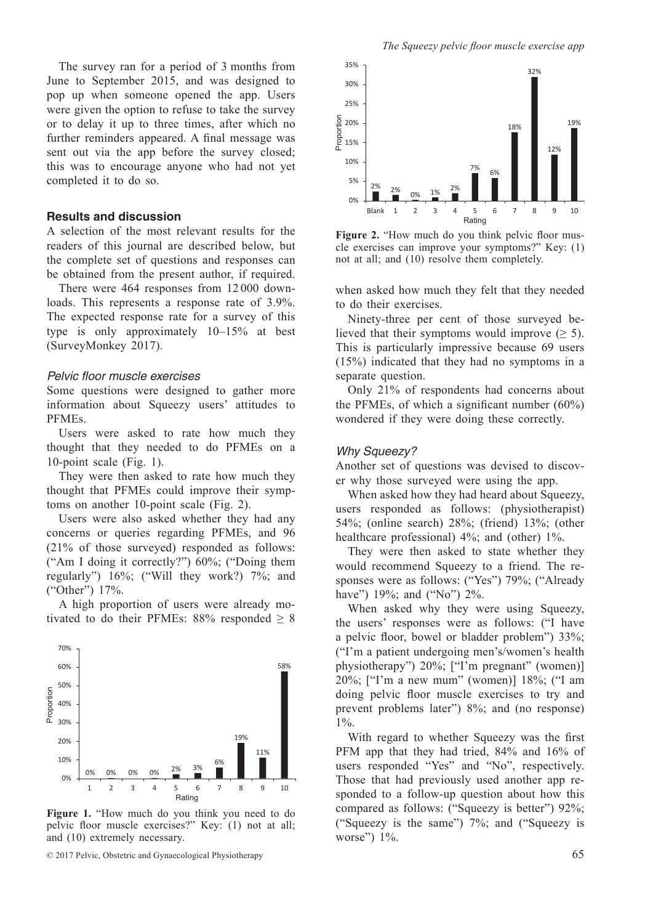The survey ran for a period of 3 months from June to September 2015, and was designed to pop up when someone opened the app. Users were given the option to refuse to take the survey or to delay it up to three times, after which no further reminders appeared. A final message was sent out via the app before the survey closed; this was to encourage anyone who had not yet completed it to do so.

#### **Results and discussion**

A selection of the most relevant results for the readers of this journal are described below, but the complete set of questions and responses can be obtained from the present author, if required.

There were 464 responses from 12 000 downloads. This represents a response rate of 3.9%. The expected response rate for a survey of this type is only approximately 10–15% at best (SurveyMonkey 2017).

#### *Pelvic floor muscle exercises*

Some questions were designed to gather more information about Squeezy users' attitudes to PFMEs.

Users were asked to rate how much they thought that they needed to do PFMEs on a 10-point scale (Fig. 1).

They were then asked to rate how much they thought that PFMEs could improve their symptoms on another 10-point scale (Fig. 2).

Users were also asked whether they had any concerns or queries regarding PFMEs, and 96 (21% of those surveyed) responded as follows: ("Am I doing it correctly?") 60%; ("Doing them regularly") 16%; ("Will they work?) 7%; and ("Other") 17%.

A high proportion of users were already motivated to do their PFMEs:  $88\%$  responded  $\geq 8$ 



**Figure 1.** "How much do you think you need to do pelvic floor muscle exercises?" Key: (1) not at all; and (10) extremely necessary.



Figure 2. "How much do you think pelvic floor muscle exercises can improve your symptoms?" Key: (1) not at all; and (10) resolve them completely.

when asked how much they felt that they needed to do their exercises.

Ninety-three per cent of those surveyed believed that their symptoms would improve  $(\geq 5)$ . This is particularly impressive because 69 users (15%) indicated that they had no symptoms in a separate question.

Only 21% of respondents had concerns about the PFMEs, of which a significant number (60%) wondered if they were doing these correctly.

#### *Why Squeezy?*

Another set of questions was devised to discover why those surveyed were using the app.

When asked how they had heard about Squeezy, users responded as follows: (physiotherapist) 54%; (online search) 28%; (friend) 13%; (other healthcare professional)  $4\%$ ; and (other)  $1\%$ .

They were then asked to state whether they would recommend Squeezy to a friend. The responses were as follows: ("Yes") 79%; ("Already have") 19%; and ("No") 2%.

When asked why they were using Squeezy, the users' responses were as follows: ("I have a pelvic floor, bowel or bladder problem") 33%; ("I'm a patient undergoing men's/women's health physiotherapy") 20%; ["I'm pregnant" (women)] 20%; ["I'm a new mum" (women)] 18%; ("I am doing pelvic floor muscle exercises to try and prevent problems later") 8%; and (no response) 1%.

With regard to whether Squeezy was the first PFM app that they had tried, 84% and 16% of users responded "Yes" and "No", respectively. Those that had previously used another app responded to a follow-up question about how this compared as follows: ("Squeezy is better") 92%; ("Squeezy is the same") 7%; and ("Squeezy is worse") 1%.

<sup>© 2017</sup> Pelvic, Obstetric and Gynaecological Physiotherapy 65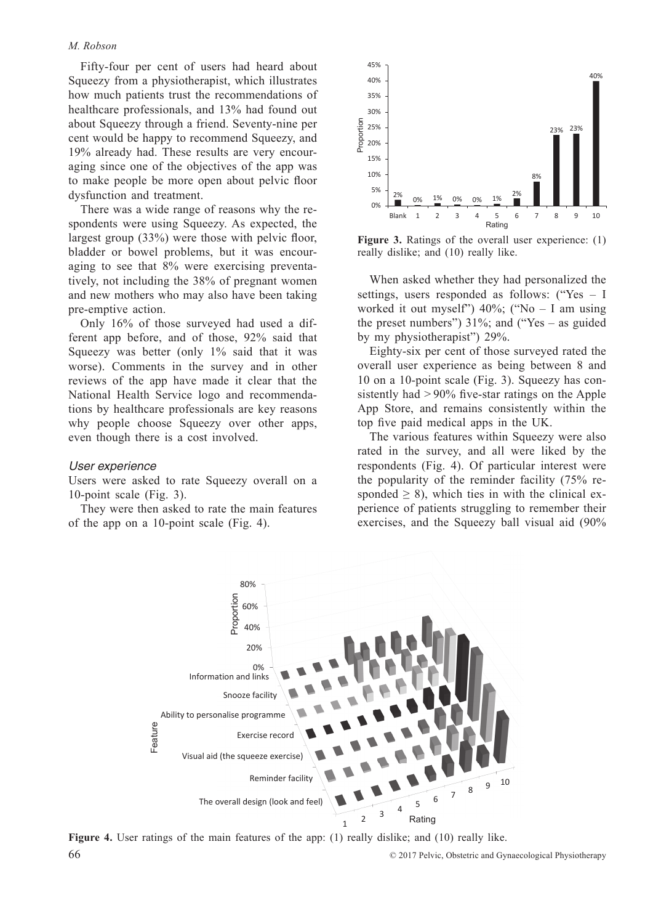#### *M. Robson*

Fifty-four per cent of users had heard about Squeezy from a physiotherapist, which illustrates how much patients trust the recommendations of healthcare professionals, and 13% had found out about Squeezy through a friend. Seventy-nine per cent would be happy to recommend Squeezy, and 19% already had. These results are very encouraging since one of the objectives of the app was to make people be more open about pelvic floor dysfunction and treatment.

There was a wide range of reasons why the respondents were using Squeezy. As expected, the largest group (33%) were those with pelvic floor, bladder or bowel problems, but it was encouraging to see that 8% were exercising preventatively, not including the 38% of pregnant women and new mothers who may also have been taking pre-emptive action.

Only 16% of those surveyed had used a different app before, and of those, 92% said that Squeezy was better (only 1% said that it was worse). Comments in the survey and in other reviews of the app have made it clear that the National Health Service logo and recommendations by healthcare professionals are key reasons why people choose Squeezy over other apps, even though there is a cost involved.

#### *User experience*

Users were asked to rate Squeezy overall on a 10-point scale (Fig. 3).

They were then asked to rate the main features of the app on a 10-point scale (Fig. 4).



**Figure 3.** Ratings of the overall user experience: (1) really dislike; and (10) really like.

When asked whether they had personalized the settings, users responded as follows: ("Yes – I worked it out myself")  $40\%$ ; ("No – I am using the preset numbers")  $31\%$ ; and ("Yes – as guided by my physiotherapist") 29%.

Eighty-six per cent of those surveyed rated the overall user experience as being between 8 and 10 on a 10-point scale (Fig. 3). Squeezy has consistently had > 90% five-star ratings on the Apple App Store, and remains consistently within the top five paid medical apps in the UK.

The various features within Squeezy were also rated in the survey, and all were liked by the respondents (Fig. 4). Of particular interest were the popularity of the reminder facility (75% responded  $\geq$  8), which ties in with the clinical experience of patients struggling to remember their exercises, and the Squeezy ball visual aid (90%



**Figure** 4. User ratings of the main features of the app: (1) really dislike; and (10) really like.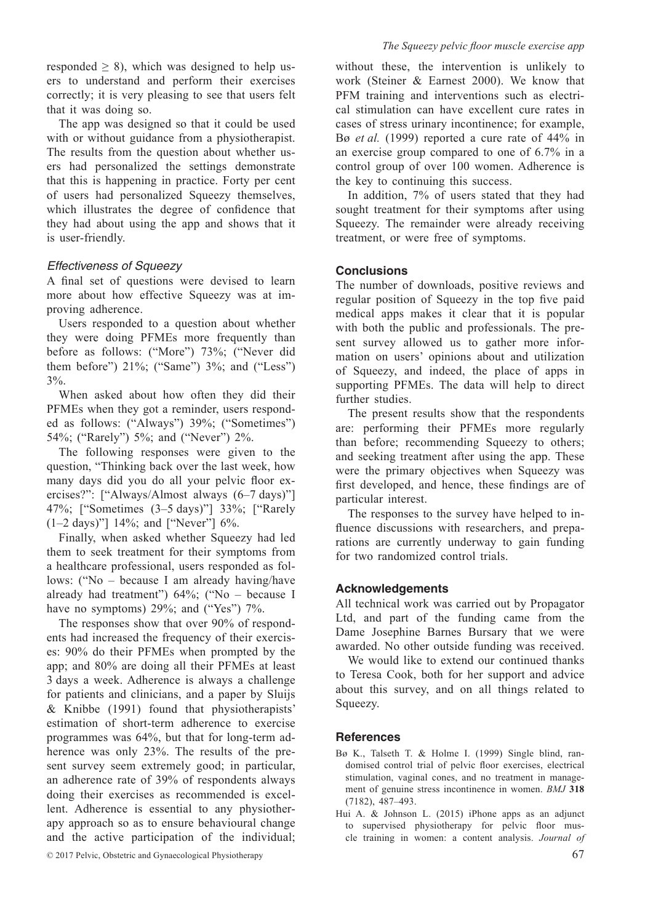The app was designed so that it could be used with or without guidance from a physiotherapist. The results from the question about whether users had personalized the settings demonstrate that this is happening in practice. Forty per cent of users had personalized Squeezy themselves, which illustrates the degree of confidence that they had about using the app and shows that it is user-friendly.

# *Effectiveness of Squeezy*

A final set of questions were devised to learn more about how effective Squeezy was at improving adherence.

Users responded to a question about whether they were doing PFMEs more frequently than before as follows: ("More") 73%; ("Never did them before")  $21\%$ ; ("Same")  $3\%$ ; and ("Less") 3%.

When asked about how often they did their PFMEs when they got a reminder, users responded as follows: ("Always") 39%; ("Sometimes") 54%; ("Rarely") 5%; and ("Never") 2%.

The following responses were given to the question, "Thinking back over the last week, how many days did you do all your pelvic floor exercises?": ["Always/Almost always (6–7 days)"] 47%; ["Sometimes (3–5 days)"] 33%; ["Rarely (1–2 days)"] 14%; and ["Never"] 6%.

Finally, when asked whether Squeezy had led them to seek treatment for their symptoms from a healthcare professional, users responded as follows: ("No – because I am already having/have already had treatment") 64%; ("No – because I have no symptoms) 29%; and ("Yes") 7%.

The responses show that over 90% of respondents had increased the frequency of their exercises: 90% do their PFMEs when prompted by the app; and 80% are doing all their PFMEs at least 3 days a week. Adherence is always a challenge for patients and clinicians, and a paper by Sluijs & Knibbe (1991) found that physiotherapists' estimation of short-term adherence to exercise programmes was 64%, but that for long-term adherence was only 23%. The results of the present survey seem extremely good; in particular, an adherence rate of 39% of respondents always doing their exercises as recommended is excellent. Adherence is essential to any physiotherapy approach so as to ensure behavioural change and the active participation of the individual;

without these, the intervention is unlikely to work (Steiner & Earnest 2000). We know that PFM training and interventions such as electrical stimulation can have excellent cure rates in cases of stress urinary incontinence; for example, Bø *et al.* (1999) reported a cure rate of 44% in an exercise group compared to one of 6.7% in a control group of over 100 women. Adherence is the key to continuing this success.

In addition, 7% of users stated that they had sought treatment for their symptoms after using Squeezy. The remainder were already receiving treatment, or were free of symptoms.

# **Conclusions**

The number of downloads, positive reviews and regular position of Squeezy in the top five paid medical apps makes it clear that it is popular with both the public and professionals. The present survey allowed us to gather more information on users' opinions about and utilization of Squeezy, and indeed, the place of apps in supporting PFMEs. The data will help to direct further studies.

The present results show that the respondents are: performing their PFMEs more regularly than before; recommending Squeezy to others; and seeking treatment after using the app. These were the primary objectives when Squeezy was first developed, and hence, these findings are of particular interest.

The responses to the survey have helped to influence discussions with researchers, and preparations are currently underway to gain funding for two randomized control trials.

## **Acknowledgements**

All technical work was carried out by Propagator Ltd, and part of the funding came from the Dame Josephine Barnes Bursary that we were awarded. No other outside funding was received.

We would like to extend our continued thanks to Teresa Cook, both for her support and advice about this survey, and on all things related to Squeezy.

## **References**

- Bø K., Talseth T. & Holme I. (1999) Single blind, randomised control trial of pelvic floor exercises, electrical stimulation, vaginal cones, and no treatment in management of genuine stress incontinence in women. *BMJ* **318**  (7182), 487–493.
- Hui A. & Johnson L. (2015) iPhone apps as an adjunct to supervised physiotherapy for pelvic floor muscle training in women: a content analysis. *Journal of*